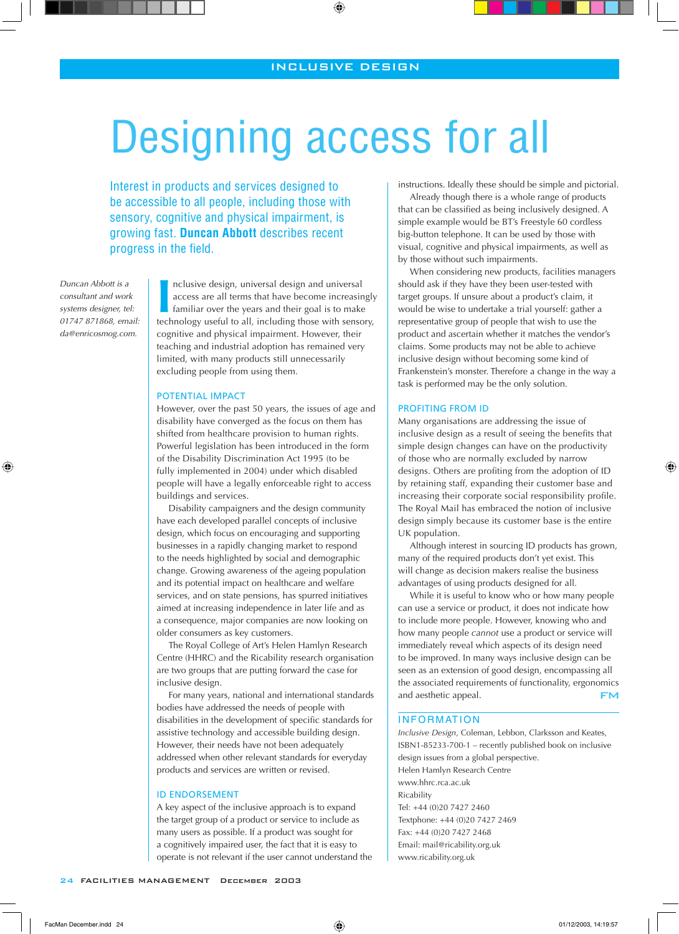$\textcolor{black}{\textcircled{\small\textrm{-}}}$ 

# Designing access for all

Interest in products and services designed to be accessible to all people, including those with sensory, cognitive and physical impairment, is growing fast. **Duncan Abbott** describes recent progress in the field.

*Duncan Abbott is a consultant and work systems designer, tel: 01747 871868, email: da@enricosmog.com.*

⊕

**II** nclusive design, universal design and universal access are all terms that have become increasingly familiar over the years and their goal is to make technology useful to all, including those with sensory, nclusive design, universal design and universal access are all terms that have become increasingly familiar over the years and their goal is to make cognitive and physical impairment. However, their teaching and industrial adoption has remained very limited, with many products still unnecessarily excluding people from using them.

#### POTENTIAL IMPACT

However, over the past 50 years, the issues of age and disability have converged as the focus on them has shifted from healthcare provision to human rights. Powerful legislation has been introduced in the form of the Disability Discrimination Act 1995 (to be fully implemented in 2004) under which disabled people will have a legally enforceable right to access buildings and services.

Disability campaigners and the design community have each developed parallel concepts of inclusive design, which focus on encouraging and supporting businesses in a rapidly changing market to respond to the needs highlighted by social and demographic change. Growing awareness of the ageing population and its potential impact on healthcare and welfare services, and on state pensions, has spurred initiatives aimed at increasing independence in later life and as a consequence, major companies are now looking on older consumers as key customers.

The Royal College of Art's Helen Hamlyn Research Centre (HHRC) and the Ricability research organisation are two groups that are putting forward the case for inclusive design.

For many years, national and international standards bodies have addressed the needs of people with disabilities in the development of specific standards for assistive technology and accessible building design. However, their needs have not been adequately addressed when other relevant standards for everyday products and services are written or revised.

### ID ENDORSEMENT

A key aspect of the inclusive approach is to expand the target group of a product or service to include as many users as possible. If a product was sought for a cognitively impaired user, the fact that it is easy to operate is not relevant if the user cannot understand the instructions. Ideally these should be simple and pictorial.

Already though there is a whole range of products that can be classified as being inclusively designed. A simple example would be BT's Freestyle 60 cordless big-button telephone. It can be used by those with visual, cognitive and physical impairments, as well as by those without such impairments.

When considering new products, facilities managers should ask if they have they been user-tested with target groups. If unsure about a product's claim, it would be wise to undertake a trial yourself: gather a representative group of people that wish to use the product and ascertain whether it matches the vendor's claims. Some products may not be able to achieve inclusive design without becoming some kind of Frankenstein's monster. Therefore a change in the way a task is performed may be the only solution.

### PROFITING FROM ID

Many organisations are addressing the issue of inclusive design as a result of seeing the benefits that simple design changes can have on the productivity of those who are normally excluded by narrow designs. Others are profiting from the adoption of ID by retaining staff, expanding their customer base and increasing their corporate social responsibility profile. The Royal Mail has embraced the notion of inclusive design simply because its customer base is the entire UK population.

⊕

Although interest in sourcing ID products has grown, many of the required products don't yet exist. This will change as decision makers realise the business advantages of using products designed for all.

While it is useful to know who or how many people can use a service or product, it does not indicate how to include more people. However, knowing who and how many people *cannot* use a product or service will immediately reveal which aspects of its design need to be improved. In many ways inclusive design can be seen as an extension of good design, encompassing all the associated requirements of functionality, ergonomics and aesthetic appeal. FM

### INFORMATION

*Inclusive Design*, Coleman, Lebbon, Clarksson and Keates, ISBN1-85233-700-1 – recently published book on inclusive design issues from a global perspective. Helen Hamlyn Research Centre www.hhrc.rca.ac.uk **Ricability** Tel: +44 (0)20 7427 2460 Textphone: +44 (0)20 7427 2469 Fax: +44 (0)20 7427 2468 Email: mail@ricability.org.uk www.ricability.org.uk